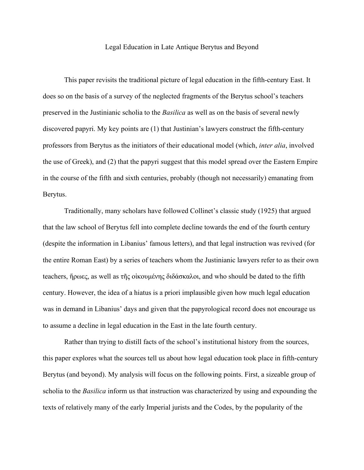## Legal Education in Late Antique Berytus and Beyond

This paper revisits the traditional picture of legal education in the fifth-century East. It does so on the basis of a survey of the neglected fragments of the Berytus school's teachers preserved in the Justinianic scholia to the *Basilica* as well as on the basis of several newly discovered papyri. My key points are (1) that Justinian's lawyers construct the fifth-century professors from Berytus as the initiators of their educational model (which, *inter alia*, involved the use of Greek), and (2) that the papyri suggest that this model spread over the Eastern Empire in the course of the fifth and sixth centuries, probably (though not necessarily) emanating from Berytus.

Traditionally, many scholars have followed Collinet's classic study (1925) that argued that the law school of Berytus fell into complete decline towards the end of the fourth century (despite the information in Libanius' famous letters), and that legal instruction was revived (for the entire Roman East) by a series of teachers whom the Justinianic lawyers refer to as their own teachers, ἥρωες, as well as τῆς οἰκουμένης διδάσκαλοι, and who should be dated to the fifth century. However, the idea of a hiatus is a priori implausible given how much legal education was in demand in Libanius' days and given that the papyrological record does not encourage us to assume a decline in legal education in the East in the late fourth century.

Rather than trying to distill facts of the school's institutional history from the sources, this paper explores what the sources tell us about how legal education took place in fifth-century Berytus (and beyond). My analysis will focus on the following points. First, a sizeable group of scholia to the *Basilica* inform us that instruction was characterized by using and expounding the texts of relatively many of the early Imperial jurists and the Codes, by the popularity of the